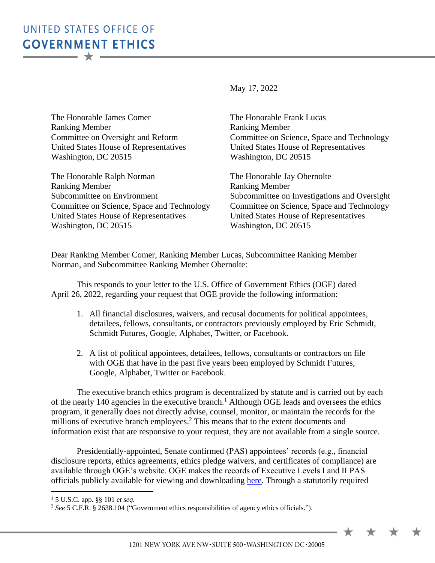## UNITED STATES OFFICE OF **GOVERNMENT ETHICS**  $\overline{\phantom{m}}\star\overline{\phantom{m}}$

May 17, 2022

The Honorable James Comer Ranking Member Committee on Oversight and Reform United States House of Representatives Washington, DC 20515

The Honorable Ralph Norman Ranking Member Subcommittee on Environment Committee on Science, Space and Technology United States House of Representatives Washington, DC 20515

The Honorable Frank Lucas Ranking Member Committee on Science, Space and Technology United States House of Representatives Washington, DC 20515

The Honorable Jay Obernolte Ranking Member Subcommittee on Investigations and Oversight Committee on Science, Space and Technology United States House of Representatives Washington, DC 20515

 $\bigstar$ 

Dear Ranking Member Comer, Ranking Member Lucas, Subcommittee Ranking Member Norman, and Subcommittee Ranking Member Obernolte:

This responds to your letter to the U.S. Office of Government Ethics (OGE) dated April 26, 2022, regarding your request that OGE provide the following information:

- 1. All financial disclosures, waivers, and recusal documents for political appointees, detailees, fellows, consultants, or contractors previously employed by Eric Schmidt, Schmidt Futures, Google, Alphabet, Twitter, or Facebook.
- 2. A list of political appointees, detailees, fellows, consultants or contractors on file with OGE that have in the past five years been employed by Schmidt Futures, Google, Alphabet, Twitter or Facebook.

The executive branch ethics program is decentralized by statute and is carried out by each of the nearly 140 agencies in the executive branch.<sup>1</sup> Although OGE leads and oversees the ethics program, it generally does not directly advise, counsel, monitor, or maintain the records for the millions of executive branch employees.<sup>2</sup> This means that to the extent documents and information exist that are responsive to your request, they are not available from a single source.

Presidentially-appointed, Senate confirmed (PAS) appointees' records (e.g., financial disclosure reports, ethics agreements, ethics pledge waivers, and certificates of compliance) are available through OGE's website. OGE makes the records of Executive Levels I and II PAS officials publicly available for viewing and downloading [here.](https://www.oge.gov/web/oge.nsf/Officials%20Individual%20Disclosures%20Search%20Collection?OpenForm) Through a statutorily required

 $\overline{a}$ 

<sup>1</sup> 5 U.S.C. app. §§ 101 *et seq.*

<sup>&</sup>lt;sup>2</sup> See 5 C.F.R. § 2638.104 ("Government ethics responsibilities of agency ethics officials.").